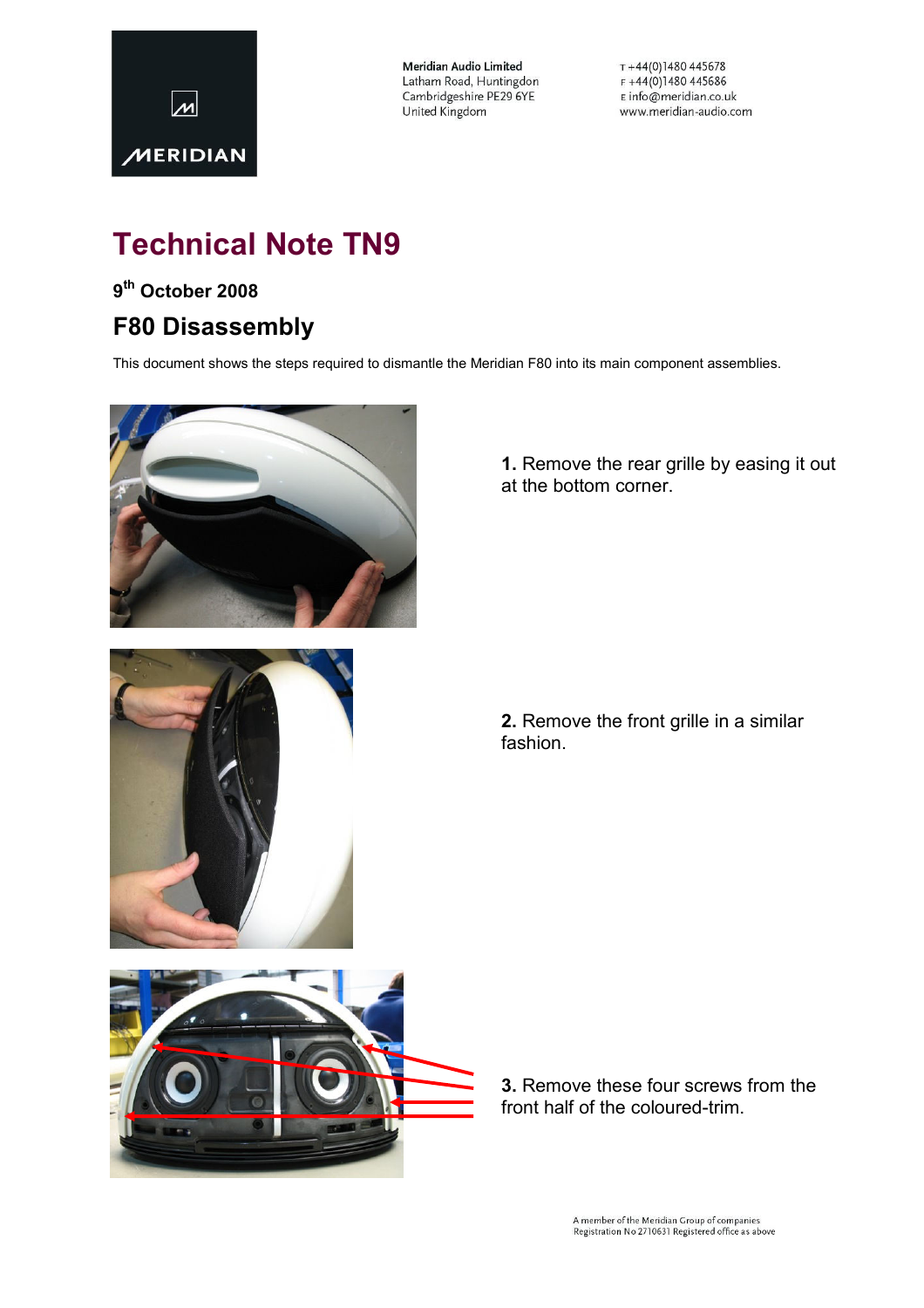

**Meridian Audio Limited** Latham Road, Huntingdon Cambridgeshire PE29 6YE United Kingdom

 $T + 44(0)1480445678$  $F + 44(0)1480445686$ E info@meridian.co.uk www.meridian-audio.com

# Technical Note TN9

### 9<sup>th</sup> October 2008

## F80 Disassembly

This document shows the steps required to dismantle the Meridian F80 into its main component assemblies.



1. Remove the rear grille by easing it out at the bottom corner.



2. Remove the front grille in a similar fashion.



3. Remove these four screws from the front half of the coloured-trim.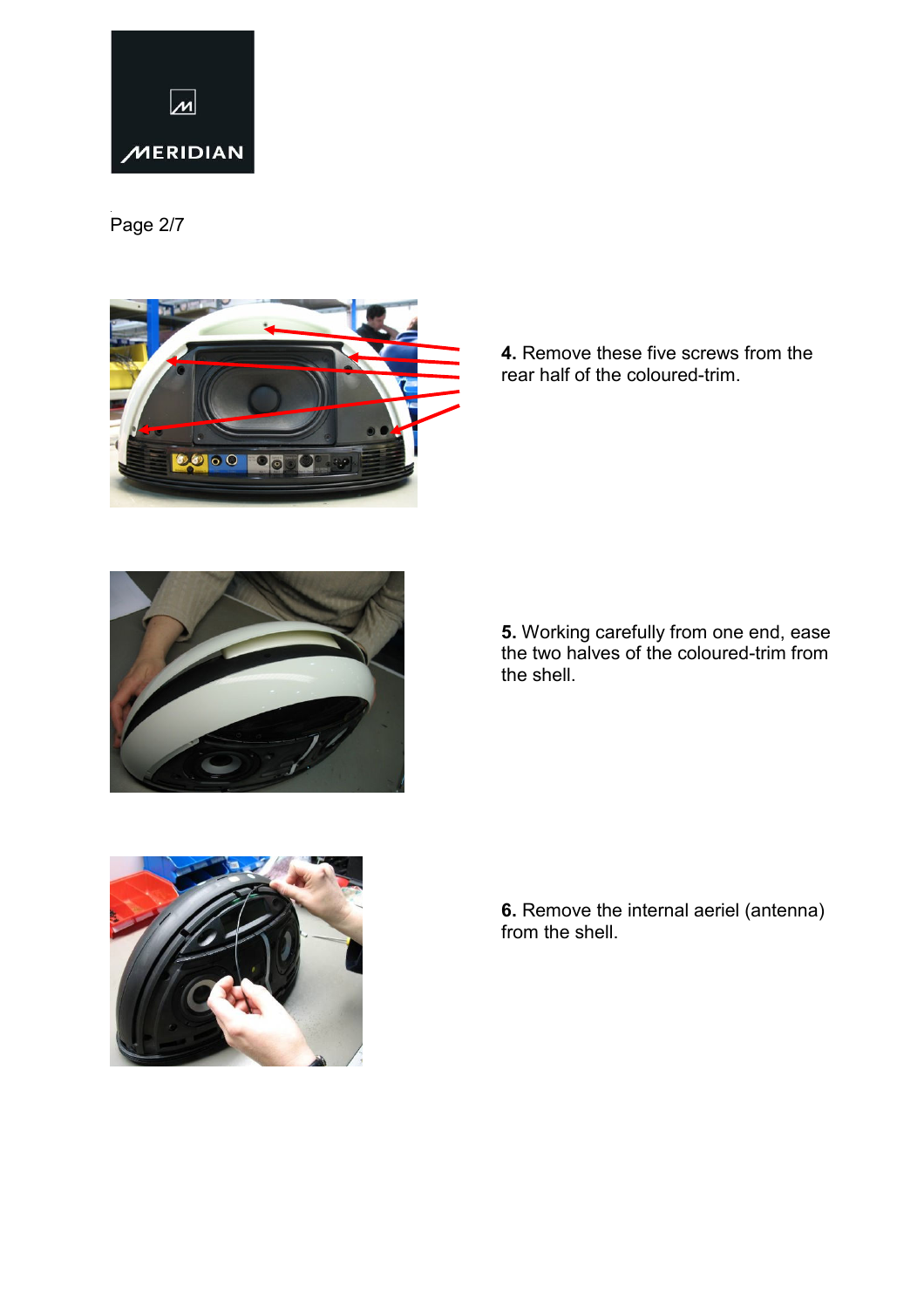

.<br>Page 2/7



4. Remove these five screws from the rear half of the coloured-trim.



5. Working carefully from one end, ease the two halves of the coloured-trim from the shell.



6. Remove the internal aeriel (antenna) from the shell.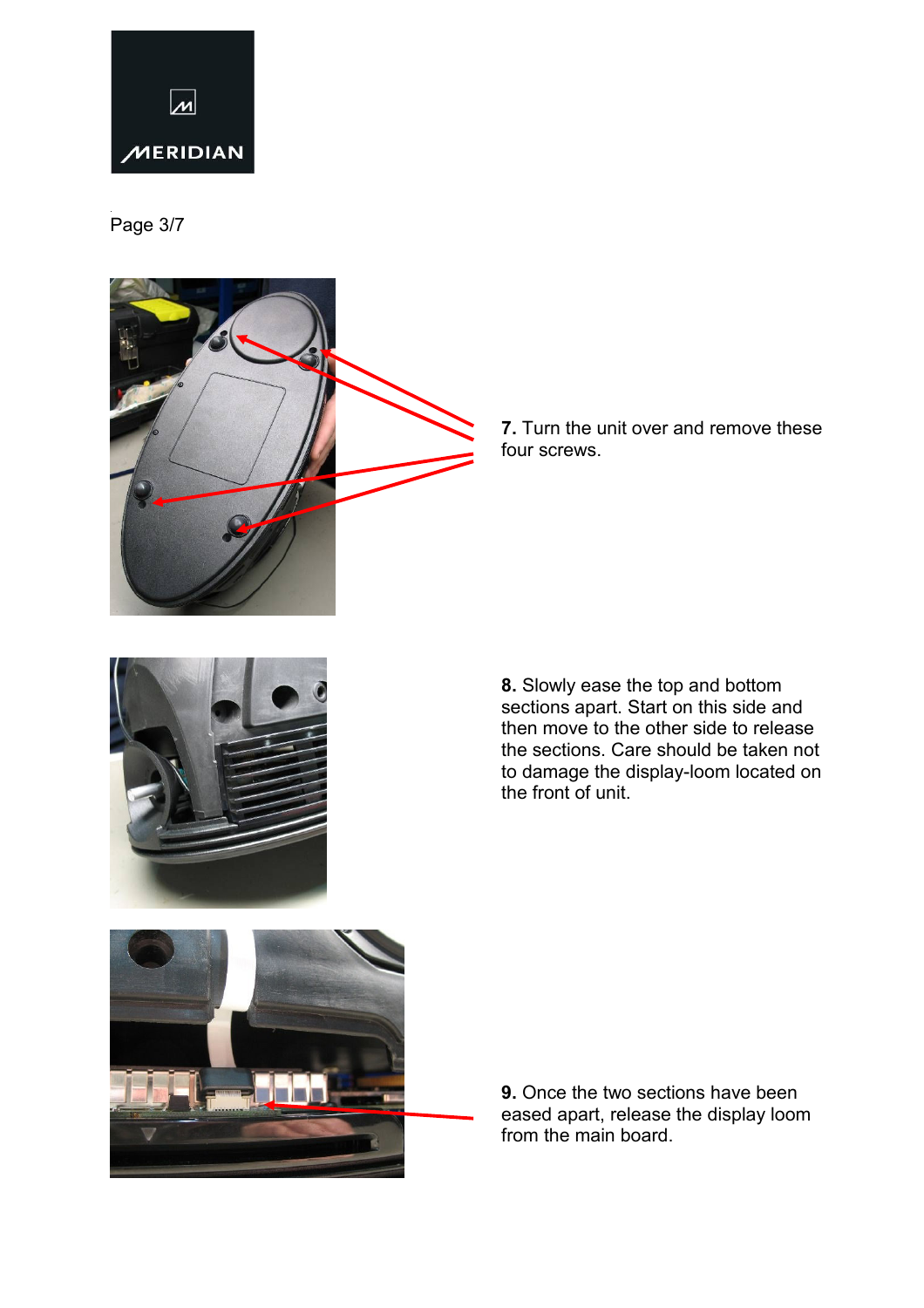

.<br>Page 3/7



7. Turn the unit over and remove these four screws.



8. Slowly ease the top and bottom sections apart. Start on this side and then move to the other side to release the sections. Care should be taken not to damage the display-loom located on the front of unit.



9. Once the two sections have been eased apart, release the display loom from the main board.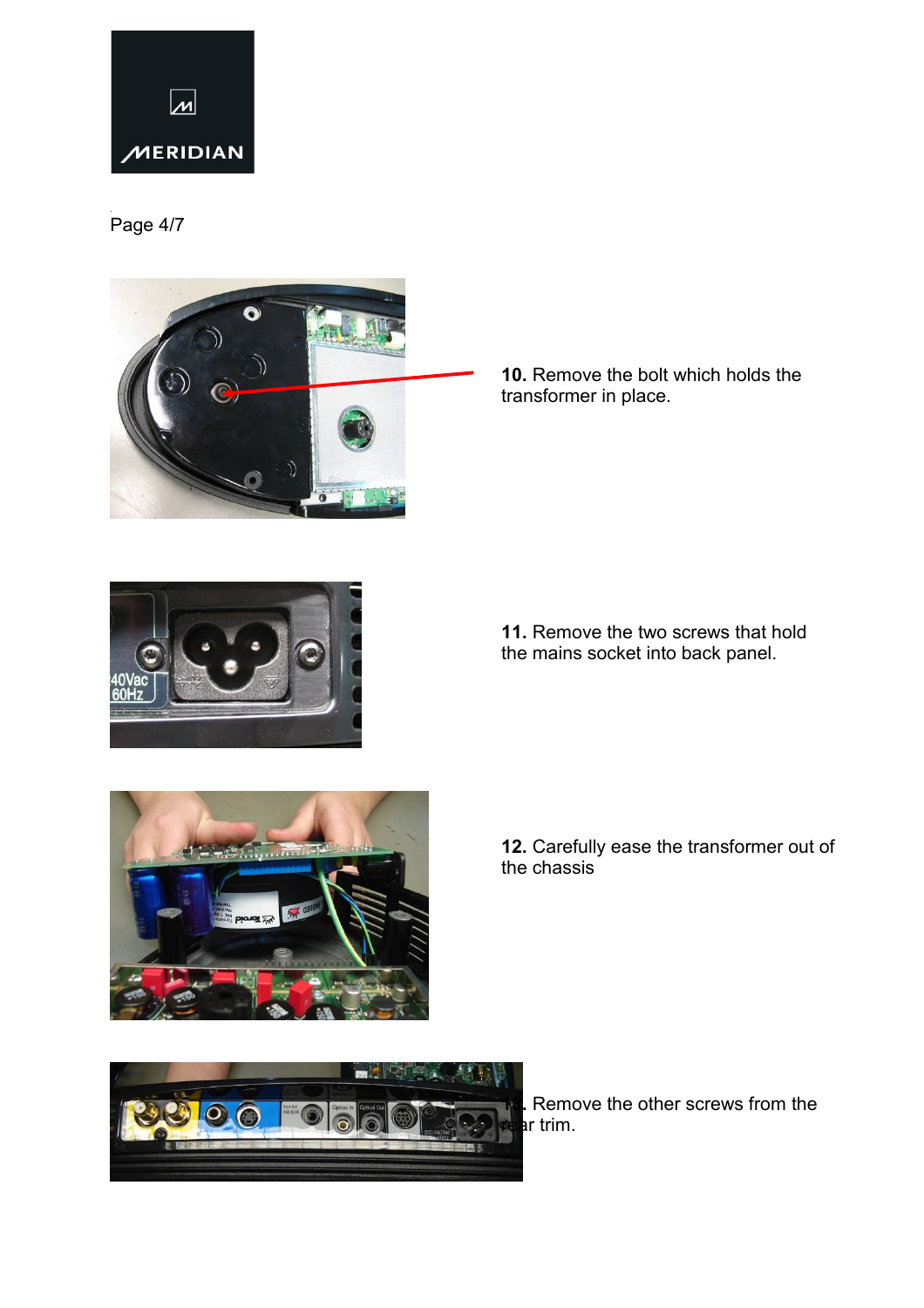

.<br>Page 4/7



10. Remove the bolt which holds the transformer in place.



11. Remove the two screws that hold the mains socket into back panel.



12. Carefully ease the transformer out of the chassis



Remove the other screws from the ar trim.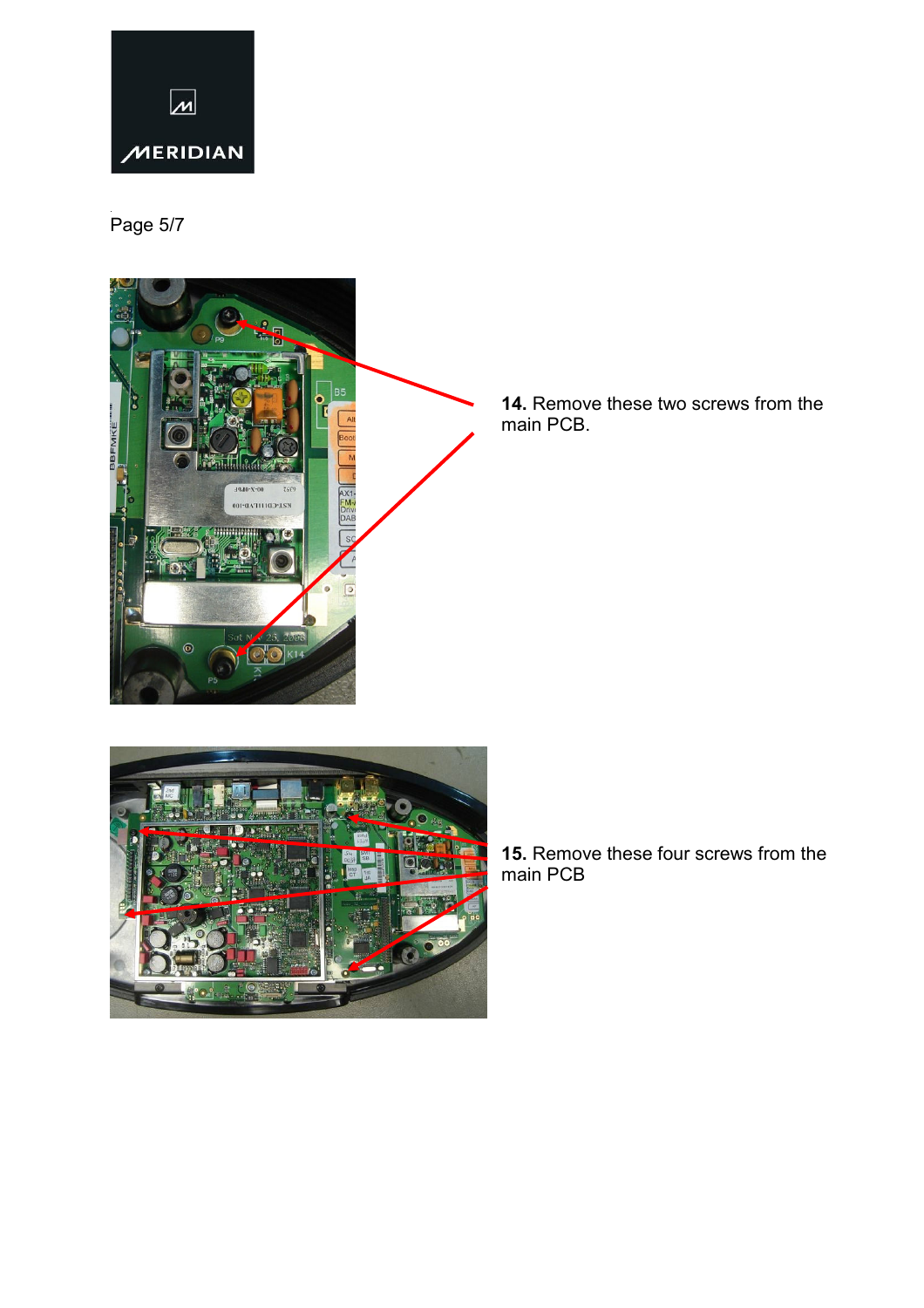

.<br>Page 5/7



14. Remove these two screws from the main PCB.



15. Remove these four screws from the main PCB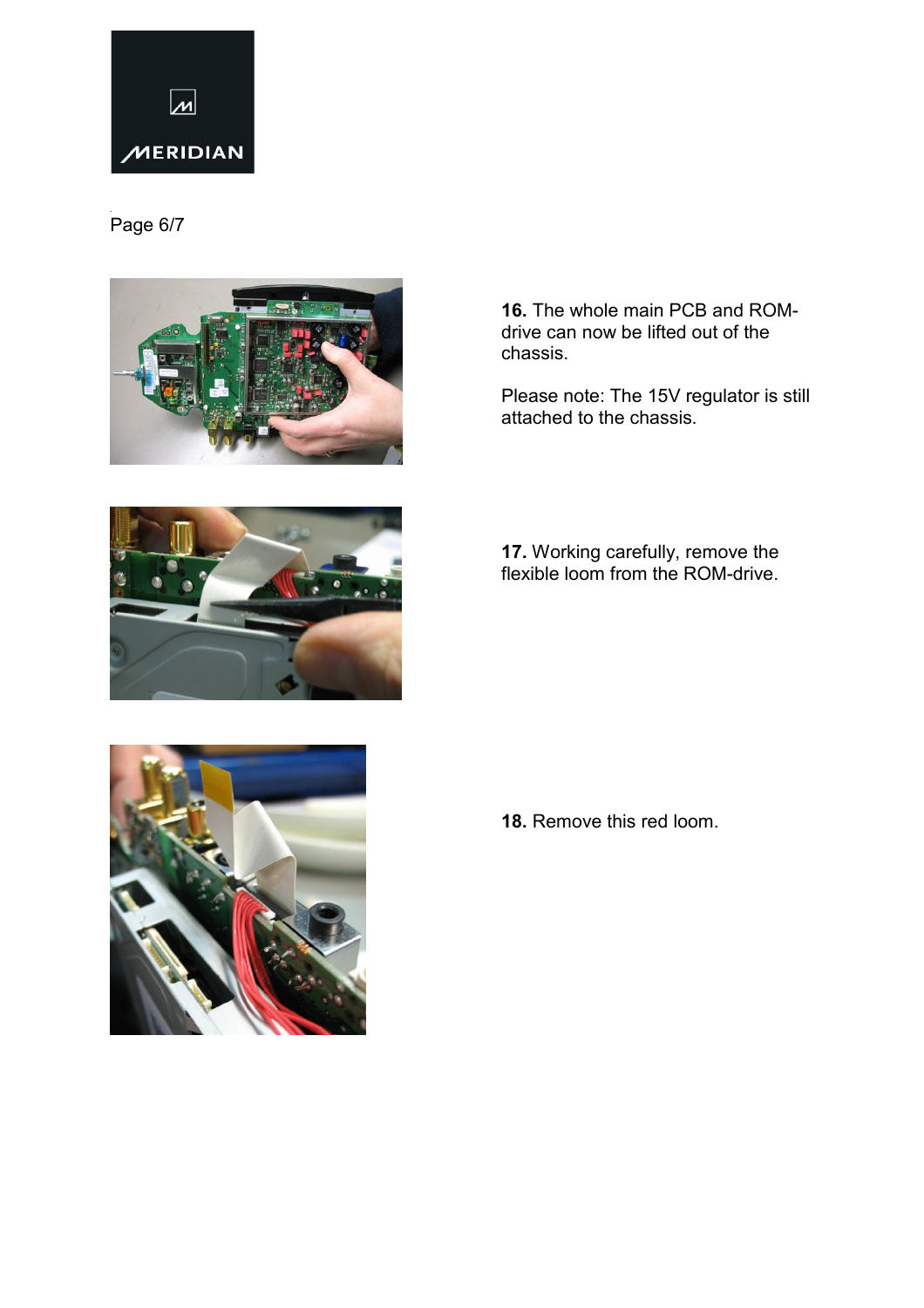

### .<br>Page 6/7





16. The whole main PCB and ROMdrive can now be lifted out of the chassis.

Please note: The 15V regulator is still attached to the chassis.

17. Working carefully, remove the flexible loom from the ROM-drive.



18. Remove this red loom.